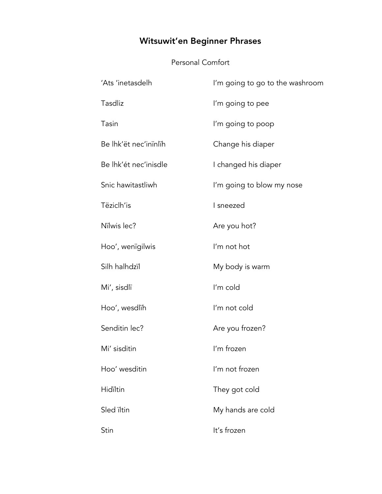## Witsuwit'en Beginner Phrases

## Personal Comfort

| 'Ats 'inetasdelh      | I'm going to go to the washroom |
|-----------------------|---------------------------------|
| Tasdliz               | I'm going to pee                |
| Tasin                 | I'm going to poop               |
| Be lhk'ët nec'inïnlïh | Change his diaper               |
| Be lhk'ét nec'inisdle | I changed his diaper            |
| Snic hawitastliwh     | I'm going to blow my nose       |
| Tëziclh'is            | I sneezed                       |
| Nilwis lec?           | Are you hot?                    |
| Hoo', wenigilwis      | I'm not hot                     |
| Silh halhdzil         | My body is warm                 |
| Mi', sisdlï           | I'm cold                        |
| Hoo', wesdlih         | I'm not cold                    |
| Senditin lec?         | Are you frozen?                 |
| Mi' sisditin          | I'm frozen                      |
| Hoo' wesditin         | I'm not frozen                  |
| Hidïltin              | They got cold                   |
| Sled iltin            | My hands are cold               |
| Stin                  | It's frozen                     |